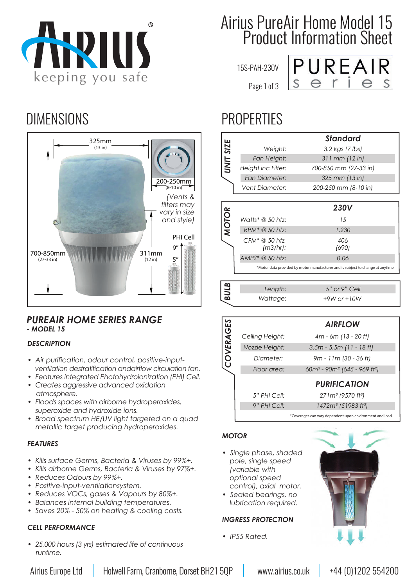

# Airius PureAir Home Model 15 Product Information Sheet

15S-PAH-230V

Page 1 of 3



### DIMENSIONS PROPERTIES



### *PUREAIR HOME SERIES RANGE - MODEL 15*

#### *DESCRIPTION*

- *ï Air purification, odour control, positive-input ventilation destratification andairflow circulation fan.*
- *ï Features integrated Photohydroionization (PHI) Cell.*
- *ï Creates aggressive advanced oxidation atmosphere.*
- *ï Floods spaces with airborne hydroperoxides, superoxide and hydroxide ions.*
- *ï Broad spectrum HE/UV light targeted on a quad metallic target producing hydroperoxides.*

#### *FEATURES*

- *ï Kills surface Germs, Bacteria & Viruses by 99%+.*
- *ï Kills airborne Germs, Bacteria & Viruses by 97%+.*
- *ï Reduces Odours by 99%+.*
- *ï Positive-input-ventilationsystem.*
- *ï Reduces VOCs, gases & Vapours by 80%+.*
- *ï Balances internal building temperatures.*
- *ï Saves 20% 50% on heating & cooling costs.*

#### *CELL PERFORMANCE*

*ï 25,000 hours (3 yrs) estimated life of continuous runtime.*

|                  |                       | <b>Standard</b>                                                                |
|------------------|-----------------------|--------------------------------------------------------------------------------|
| <b>UNIT SIZE</b> | Weight:               | 3.2 kgs (7 lbs)                                                                |
|                  | Fan Height:           | 311 mm (12 in)                                                                 |
|                  | Height inc Filter:    | 700-850 mm (27-33 in)                                                          |
|                  | <b>Fan Diameter:</b>  | 325 mm (13 in)                                                                 |
|                  | <b>Vent Diameter:</b> | 200-250 mm (8-10 in)                                                           |
|                  |                       |                                                                                |
| <b>MOTOR</b>     |                       | <b>230V</b>                                                                    |
|                  | Watts* @ 50 htz:      | 15                                                                             |
|                  | RPM* @ 50 htz:        | 1,230                                                                          |
|                  | $CFM^* @ 50$ htz      | 406                                                                            |
|                  | (m3/hr):              | (690)                                                                          |
|                  | $AMPS^* @ 50 htz$     | 0.06                                                                           |
|                  |                       | *Motor data provided by motor manufacturer and is subject to change at anytime |
|                  |                       |                                                                                |
| <b>BULB</b>      | Length:               | 5" or 9" Cell                                                                  |
|                  | Wattage:              | $+9W$ or $+10W$                                                                |
|                  |                       |                                                                                |
|                  |                       | <b>AIRFLOW</b>                                                                 |
|                  | Ceiling Height:       | $4m - 6m (13 - 20 ft)$                                                         |
|                  |                       |                                                                                |
|                  | Nozzle Height:        | $3.5m - 5.5m$ (11 - 18 ft)                                                     |
|                  | Diameter:             | 9m - 11m (30 - 36 ft)                                                          |
| COVERAGES        | Floor area:           | 60m <sup>2</sup> - 90m <sup>2</sup> (645 - 969 ft <sup>2</sup> )               |
|                  |                       | <b>PURIFICATION</b>                                                            |
|                  | 5" PHI Cell:          | 271m <sup>3</sup> (9570 ft <sup>3</sup> )                                      |
|                  | 9" PHI Cell:          | 1472m <sup>3</sup> (51983 ft <sup>3</sup> )                                    |

#### *MOTOR*

- *ï Single phase, shaded pole, single speed (variable with optional speed control), axial motor.*
- *ï Sealed bearings, no lubrication required.*

#### *INGRESS PROTECTION*

*ï IP55 Rated.*

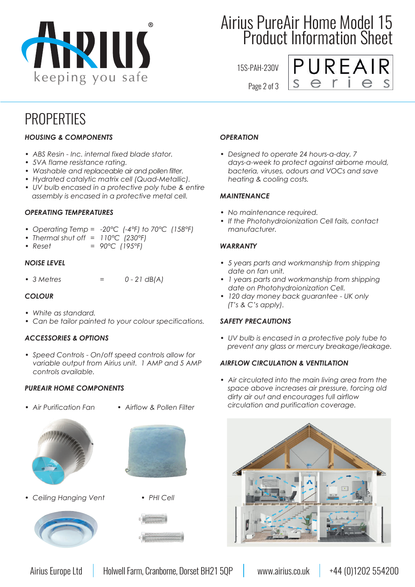

# Airius PureAir Home Model 15 Product Information Sheet

15S-PAH-230V



### **PROPERTIES**

### *HOUSING & COMPONENTS*

- *ï ABS Resin Inc. internal fixed blade stator.*
- *ï 5VA flame resistance rating.*
- *ï Washable and replaceable air and pollen filter.*
- *ï Hydrated catalytic matrix cell (Quad-Metallic).*
- *ï UV bulb encased in a protective poly tube & entire assembly is encased in a protective metal cell.*

#### *OPERATING TEMPERATURES*

- *ï Operating Temp = -20°C (-4°F) to 70°C (158°F)*
- *ï Thermal shut off = 110°C (230°F)*
- *ï Reset = 90°C (195°F)*

#### *NOISE LEVEL*

*ï 3 Metres = 0 - 21 dB(A)*

#### *COLOUR*

- *ï White as standard.*
- *ï Can be tailor painted to your colour specifications.*

#### *ACCESSORIES & OPTIONS*

*ï Speed Controls - On/off speed controls allow for variable output from Airius unit. 1 AMP and 5 AMP controls available.*

#### *PUREAIR HOME COMPONENTS*

- **Air Purification Fan · Airflow & Pollen Filter** 
	-



**· Ceiling Hanging Vent · PHI Cell** 







#### *OPERATION*

*ï Designed to operate 24 hours-a-day, 7 days-a-week to protect against airborne mould, bacteria, viruses, odours and VOCs and save heating & cooling costs.* 

#### *MAINTENANCE*

- *ï No maintenance required.*
- *ï If the Photohydroionization Cell fails, contact manufacturer.*

#### *WARRANTY*

- *ï 5 years parts and workmanship from shipping date on fan unit.*
- *ï 1 years parts and workmanship from shipping date on Photohydroionization Cell.*
- *ï 120 day money back guarantee UK only (T's & C's apply).*

#### *SAFETY PRECAUTIONS*

*ï UV bulb is encased in a protective poly tube to prevent any glass or mercury breakage/leakage.*

#### *AIRFLOW CIRCULATION & VENTILATION*

*ï Air circulated into the main living area from the space above increases air pressure, forcing old dirty air out and encourages full airflow circulation and purification coverage.*